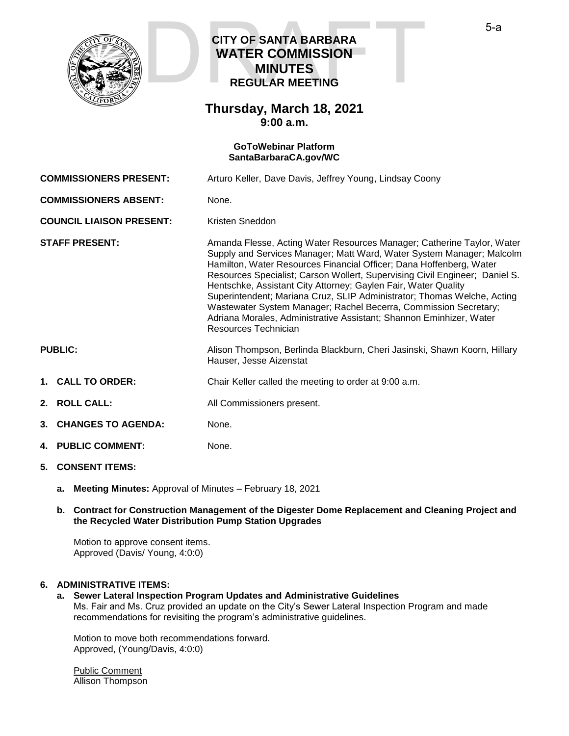

# **CITY OF SANTA BARBARA WATER COMMISSION MINUTES REGULAR MEETING CITY OF SANTA BARBARA<br>WATER COMMISSION<br>MINUTES<br>REGULAR MEETING**

# **Thursday, March 18, 2021 9:00 a.m.**

### **GoToWebinar Platform [SantaBarbaraCA.gov/WC](https://www.santabarbaraca.gov/gov/brdcomm/nz/water/agendas.asp)**

**COMMISSIONERS PRESENT:** Arturo Keller, Dave Davis, Jeffrey Young, Lindsay Coony

**COMMISSIONERS ABSENT:** None.

**COUNCIL LIAISON PRESENT:** Kristen Sneddon

**STAFF PRESENT:** Amanda Flesse, Acting Water Resources Manager; Catherine Taylor, Water Supply and Services Manager; Matt Ward, Water System Manager; Malcolm Hamilton, Water Resources Financial Officer; Dana Hoffenberg, Water Resources Specialist; Carson Wollert, Supervising Civil Engineer; Daniel S. Hentschke, Assistant City Attorney; Gaylen Fair, Water Quality Superintendent; Mariana Cruz, SLIP Administrator; Thomas Welche, Acting Wastewater System Manager; Rachel Becerra, Commission Secretary; Adriana Morales, Administrative Assistant; Shannon Eminhizer, Water Resources Technician

- **PUBLIC:** Alison Thompson, Berlinda Blackburn, Cheri Jasinski, Shawn Koorn, Hillary Hauser, Jesse Aizenstat
- **1. CALL TO ORDER:** Chair Keller called the meeting to order at 9:00 a.m.
- **2. ROLL CALL:** All Commissioners present.
- **3. CHANGES TO AGENDA:** None.
- **4. PUBLIC COMMENT:** None.

# **5. CONSENT ITEMS:**

**a. Meeting Minutes:** Approval of Minutes – February 18, 2021

#### **b. Contract for Construction Management of the Digester Dome Replacement and Cleaning Project and the Recycled Water Distribution Pump Station Upgrades**

Motion to approve consent items. Approved (Davis/ Young, 4:0:0)

# **6. ADMINISTRATIVE ITEMS:**

**a. Sewer Lateral Inspection Program Updates and Administrative Guidelines** Ms. Fair and Ms. Cruz provided an update on the City's Sewer Lateral Inspection Program and made recommendations for revisiting the program's administrative guidelines.

Motion to move both recommendations forward. Approved, (Young/Davis, 4:0:0)

Public Comment Allison Thompson